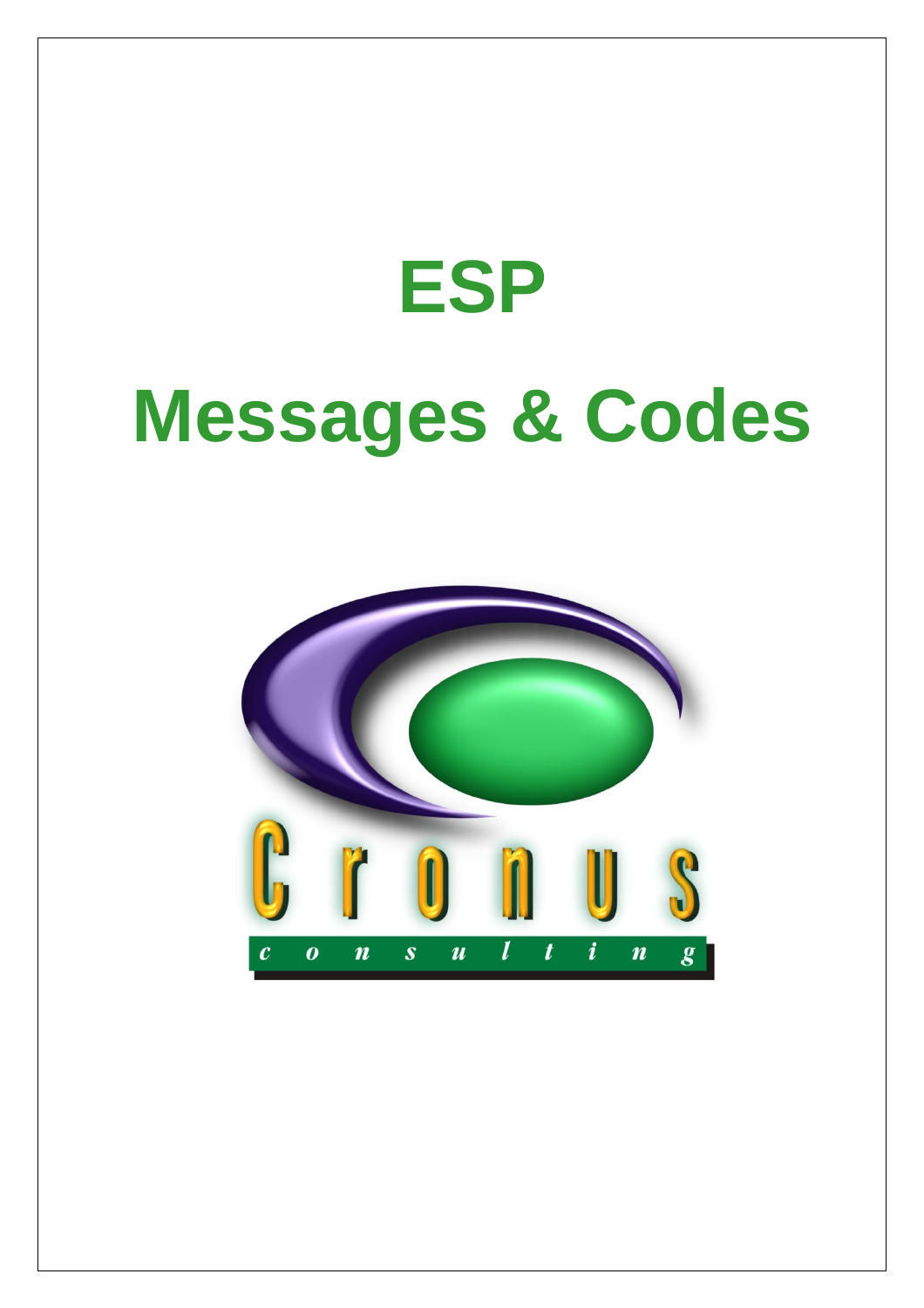# **ESP Messages & Codes**

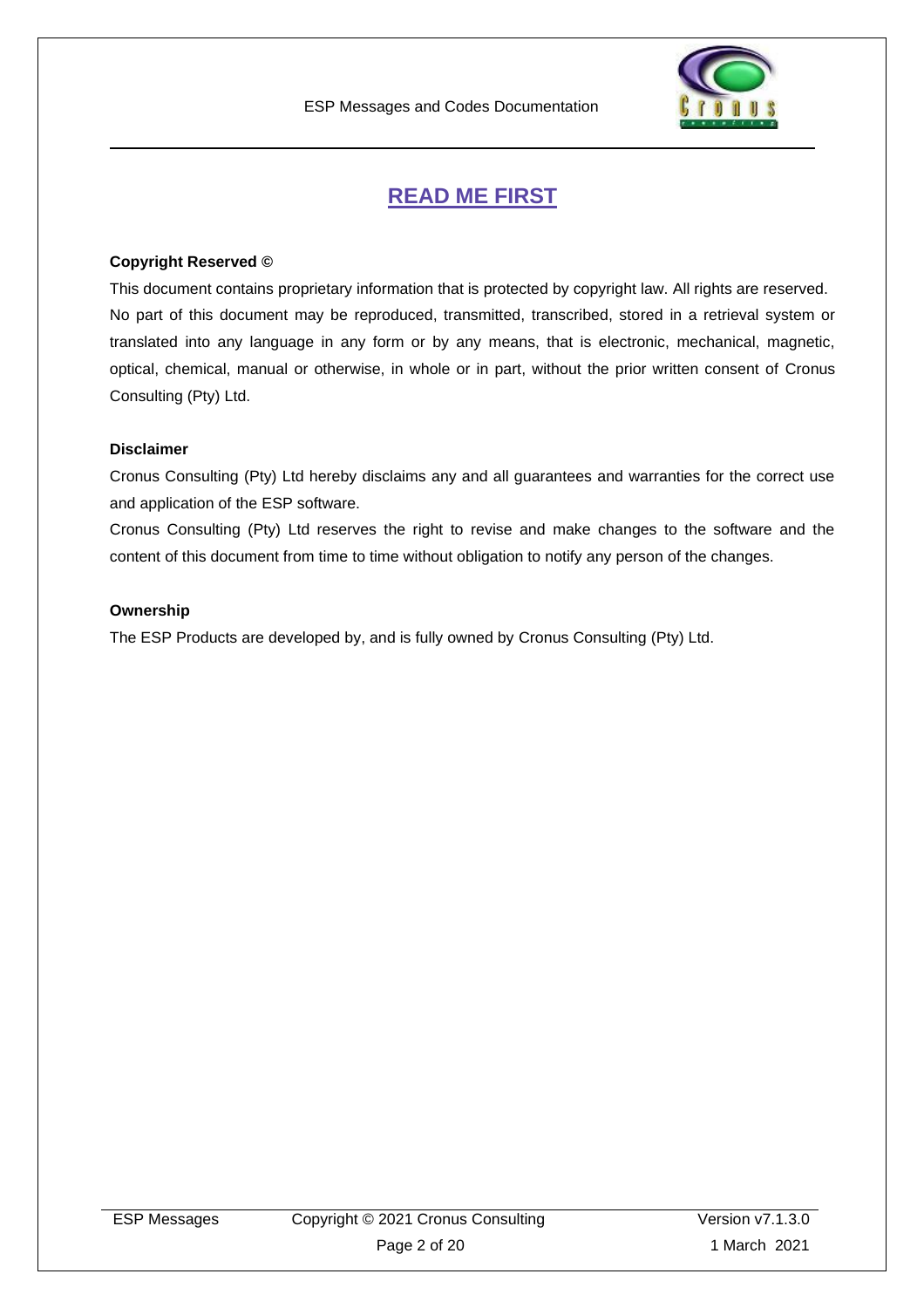

## **READ ME FIRST**

#### <span id="page-1-0"></span>**Copyright Reserved ©**

This document contains proprietary information that is protected by copyright law. All rights are reserved. No part of this document may be reproduced, transmitted, transcribed, stored in a retrieval system or translated into any language in any form or by any means, that is electronic, mechanical, magnetic, optical, chemical, manual or otherwise, in whole or in part, without the prior written consent of Cronus Consulting (Pty) Ltd.

#### **Disclaimer**

Cronus Consulting (Pty) Ltd hereby disclaims any and all guarantees and warranties for the correct use and application of the ESP software.

Cronus Consulting (Pty) Ltd reserves the right to revise and make changes to the software and the content of this document from time to time without obligation to notify any person of the changes.

#### **Ownership**

The ESP Products are developed by, and is fully owned by Cronus Consulting (Pty) Ltd.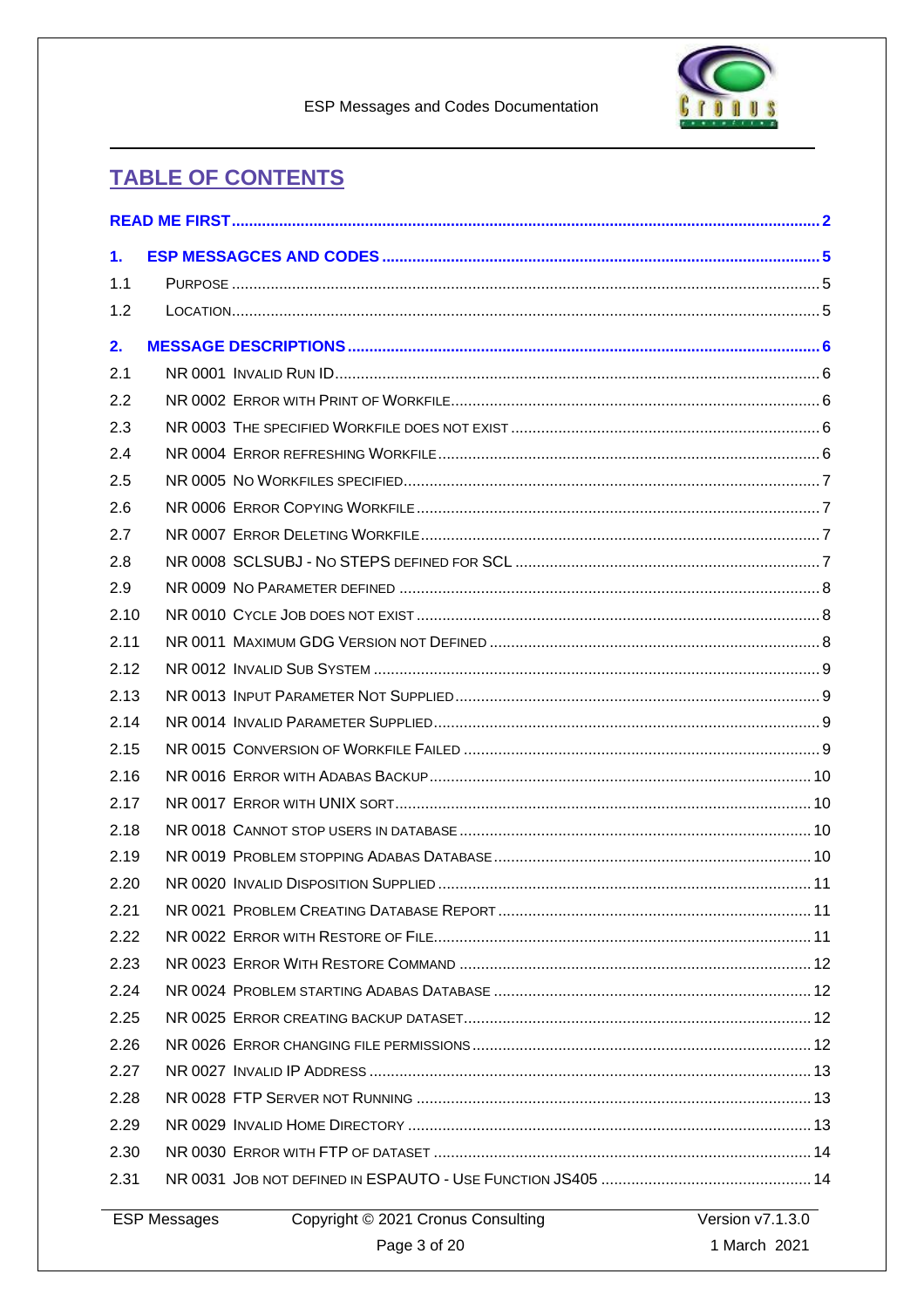

# **TABLE OF CONTENTS**

| 1.                  |                                    |                  |
|---------------------|------------------------------------|------------------|
| 1.1                 |                                    |                  |
| 1.2                 |                                    |                  |
| 2.                  |                                    |                  |
| 2.1                 |                                    |                  |
| 2.2                 |                                    |                  |
| 2.3                 |                                    |                  |
| 2.4                 |                                    |                  |
| 2.5                 |                                    |                  |
| 2.6                 |                                    |                  |
| 2.7                 |                                    |                  |
| 2.8                 |                                    |                  |
| 2.9                 |                                    |                  |
| 2.10                |                                    |                  |
| 2.11                |                                    |                  |
| 2.12                |                                    |                  |
| 2.13                |                                    |                  |
| 2.14                |                                    |                  |
| 2.15                |                                    |                  |
| 2.16                |                                    |                  |
| 2.17                |                                    |                  |
| 2.18                |                                    |                  |
| 2.19                |                                    |                  |
| 2.20                |                                    |                  |
| 2.21                |                                    |                  |
| 2.22                |                                    |                  |
| 2.23                |                                    |                  |
| 2.24                |                                    |                  |
| 2.25                |                                    |                  |
| 2.26                |                                    |                  |
| 2.27                |                                    |                  |
| 2.28                |                                    |                  |
| 2.29                |                                    |                  |
| 2.30                |                                    |                  |
| 2.31                |                                    |                  |
| <b>ESP Messages</b> | Copyright © 2021 Cronus Consulting | Version v7.1.3.0 |
|                     | Page 3 of 20                       | 1 March 2021     |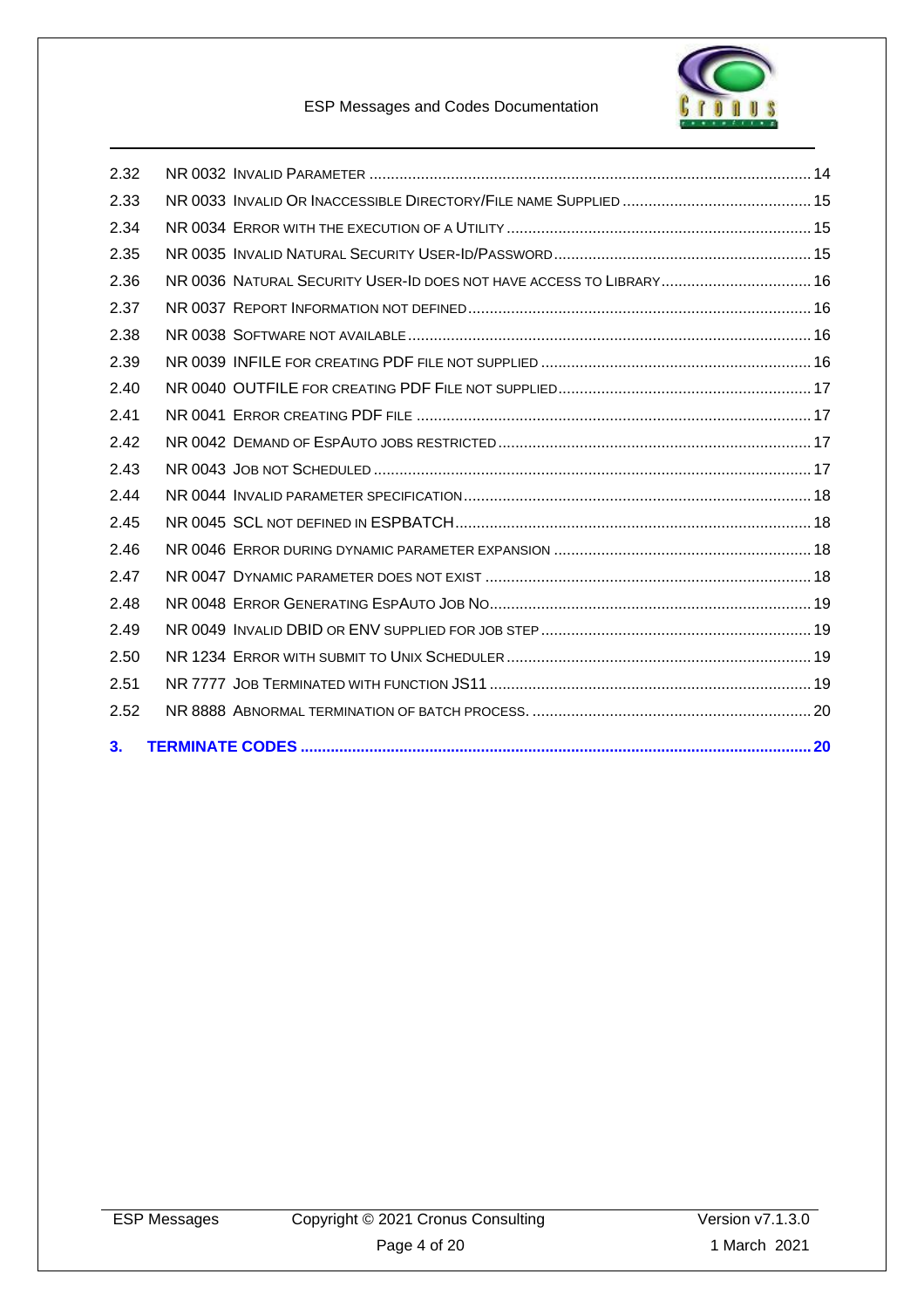

#### ESP Messages and Codes Documentation

| 2.32 |                                                                     |  |
|------|---------------------------------------------------------------------|--|
| 2.33 |                                                                     |  |
| 2.34 |                                                                     |  |
| 2.35 |                                                                     |  |
| 2.36 | NR 0036 NATURAL SECURITY USER-ID DOES NOT HAVE ACCESS TO LIBRARY 16 |  |
| 2.37 |                                                                     |  |
| 2.38 |                                                                     |  |
| 2.39 |                                                                     |  |
| 2.40 |                                                                     |  |
| 2.41 |                                                                     |  |
| 2.42 |                                                                     |  |
| 2.43 |                                                                     |  |
| 2.44 |                                                                     |  |
| 2.45 |                                                                     |  |
| 2.46 |                                                                     |  |
| 2.47 |                                                                     |  |
| 2.48 |                                                                     |  |
| 2.49 |                                                                     |  |
| 2.50 |                                                                     |  |
| 2.51 |                                                                     |  |
| 2.52 |                                                                     |  |
| 3.   |                                                                     |  |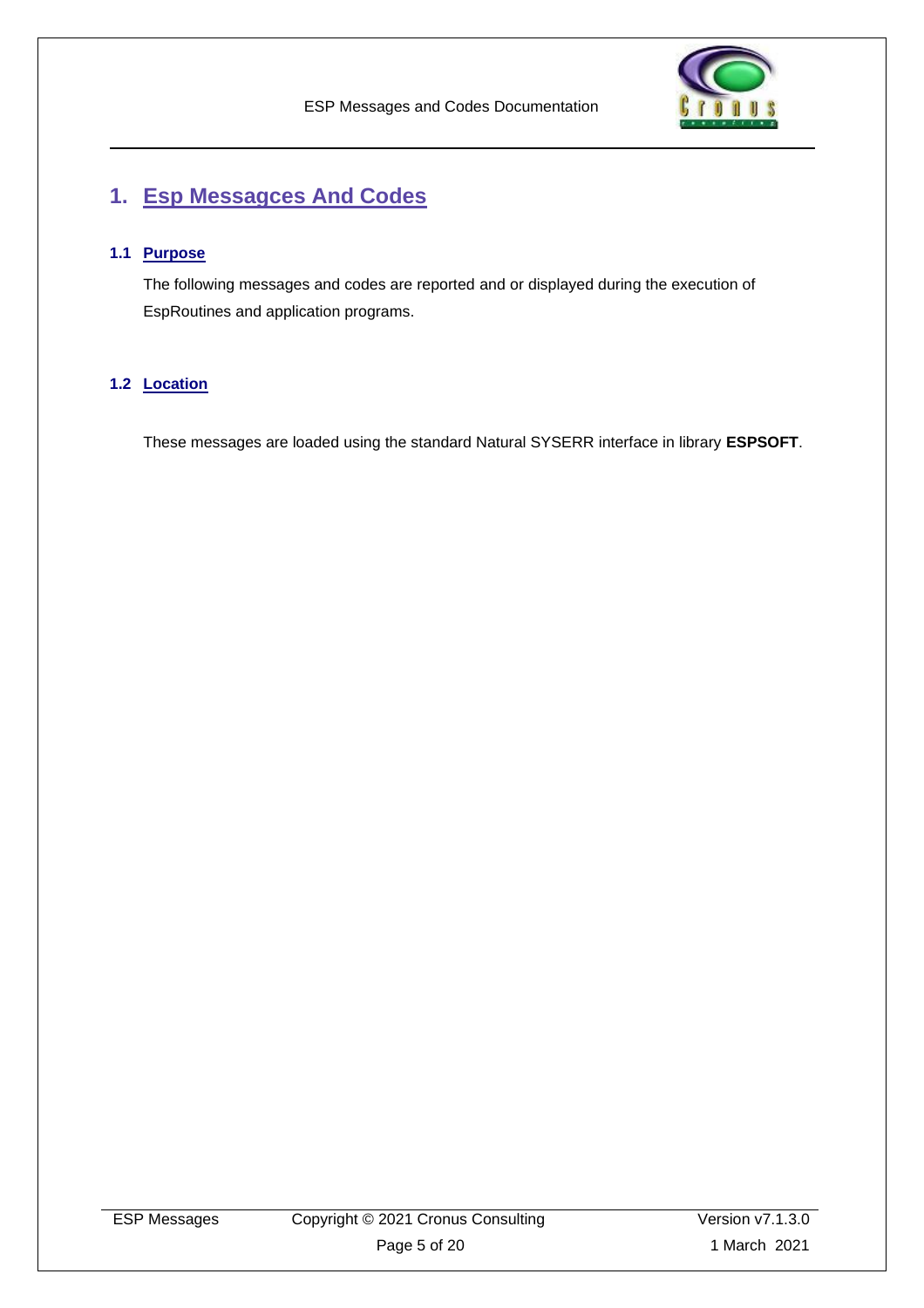

# <span id="page-4-0"></span>**1. Esp Messagces And Codes**

#### <span id="page-4-1"></span>**1.1 Purpose**

The following messages and codes are reported and or displayed during the execution of EspRoutines and application programs.

#### <span id="page-4-2"></span>**1.2 Location**

These messages are loaded using the standard Natural SYSERR interface in library **ESPSOFT**.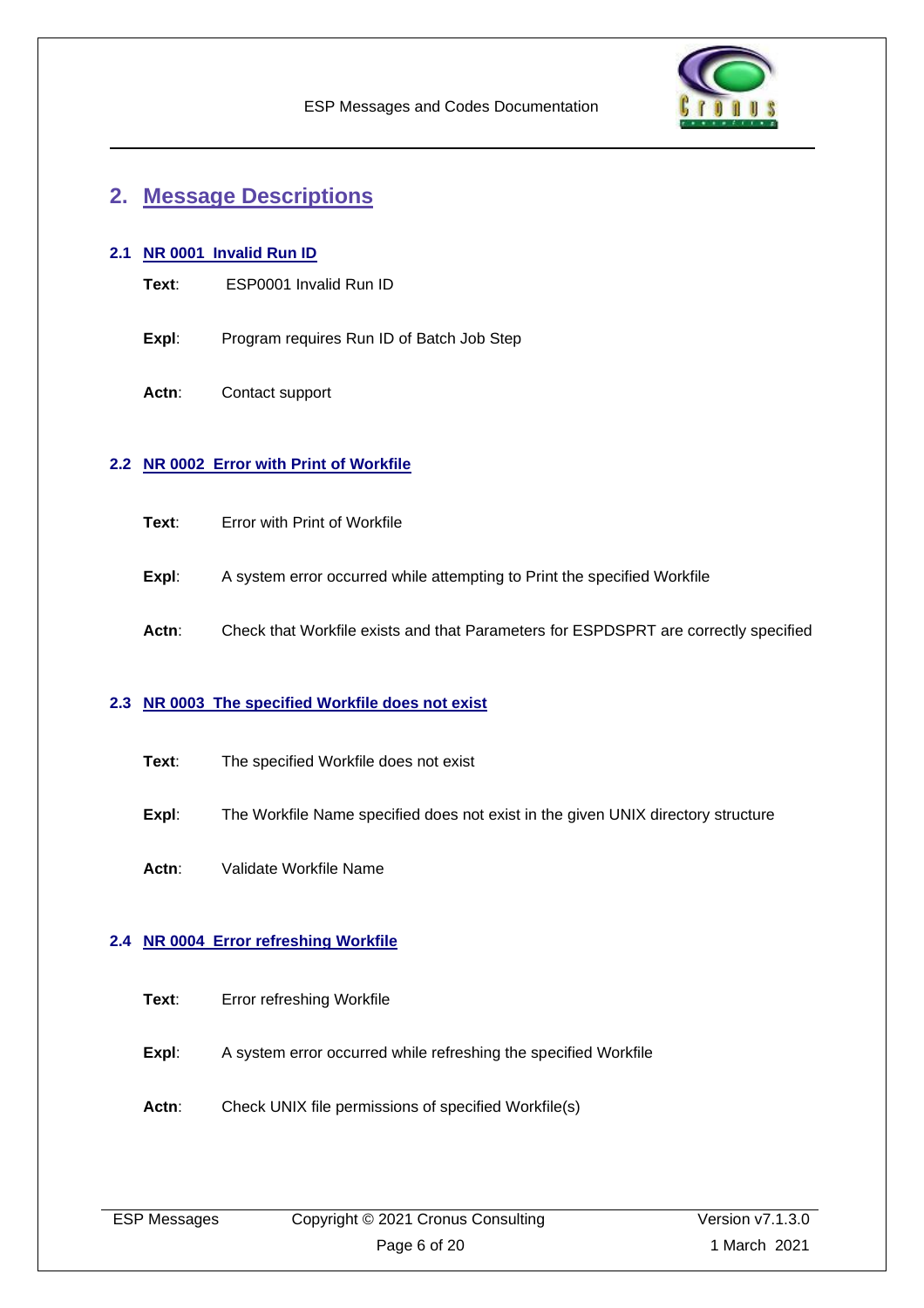

### <span id="page-5-0"></span>**2. Message Descriptions**

#### <span id="page-5-1"></span>**2.1 NR 0001 Invalid Run ID**

- **Text**: ESP0001 Invalid Run ID
- **Expl:** Program requires Run ID of Batch Job Step
- **Actn**: Contact support

#### <span id="page-5-2"></span>**2.2 NR 0002 Error with Print of Workfile**

- **Text**: Error with Print of Workfile
- **Expl:** A system error occurred while attempting to Print the specified Workfile
- Actn: Check that Workfile exists and that Parameters for ESPDSPRT are correctly specified

#### <span id="page-5-3"></span>**2.3 NR 0003 The specified Workfile does not exist**

- **Text**: The specified Workfile does not exist
- **Expl:** The Workfile Name specified does not exist in the given UNIX directory structure
- **Actn**: Validate Workfile Name

#### <span id="page-5-4"></span>**2.4 NR 0004 Error refreshing Workfile**

- **Expl:** A system error occurred while refreshing the specified Workfile
- Actn: Check UNIX file permissions of specified Workfile(s)

|  | <b>ESP Messages</b> |
|--|---------------------|
|--|---------------------|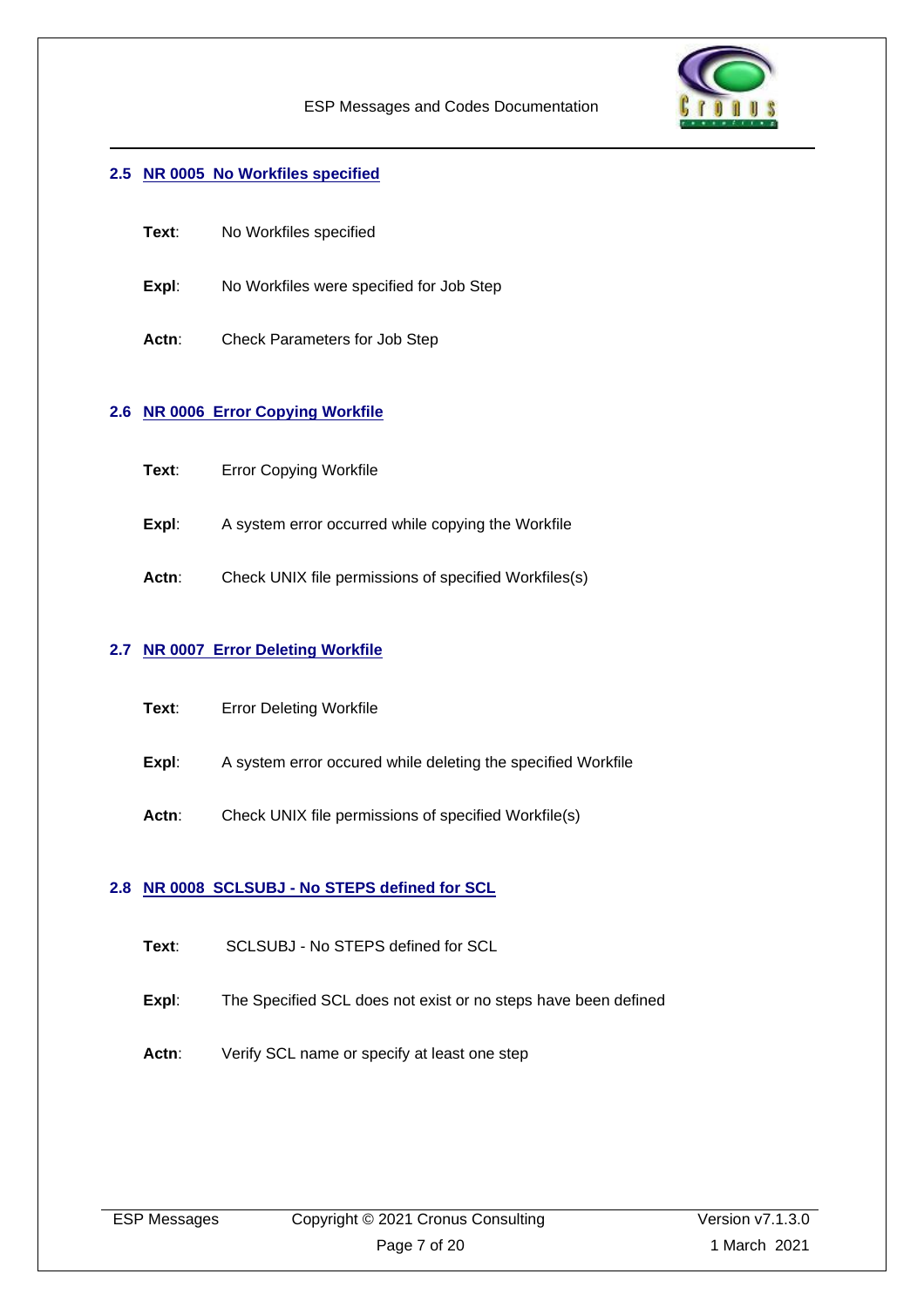

#### <span id="page-6-0"></span>**2.5 NR 0005 No Workfiles specified**

- **Text**: No Workfiles specified
- **Expl:** No Workfiles were specified for Job Step
- **Actn**: Check Parameters for Job Step

#### <span id="page-6-1"></span>**2.6 NR 0006 Error Copying Workfile**

- **Text**: Error Copying Workfile
- **Expl:** A system error occurred while copying the Workfile
- Actn: Check UNIX file permissions of specified Workfiles(s)

#### <span id="page-6-2"></span>**2.7 NR 0007 Error Deleting Workfile**

- **Text**: Error Deleting Workfile
- **Expl:** A system error occured while deleting the specified Workfile
- Actn: Check UNIX file permissions of specified Workfile(s)

#### <span id="page-6-3"></span>**2.8 NR 0008 SCLSUBJ - No STEPS defined for SCL**

- **Text**: SCLSUBJ No STEPS defined for SCL
- **Expl:** The Specified SCL does not exist or no steps have been defined
- Actn: Verify SCL name or specify at least one step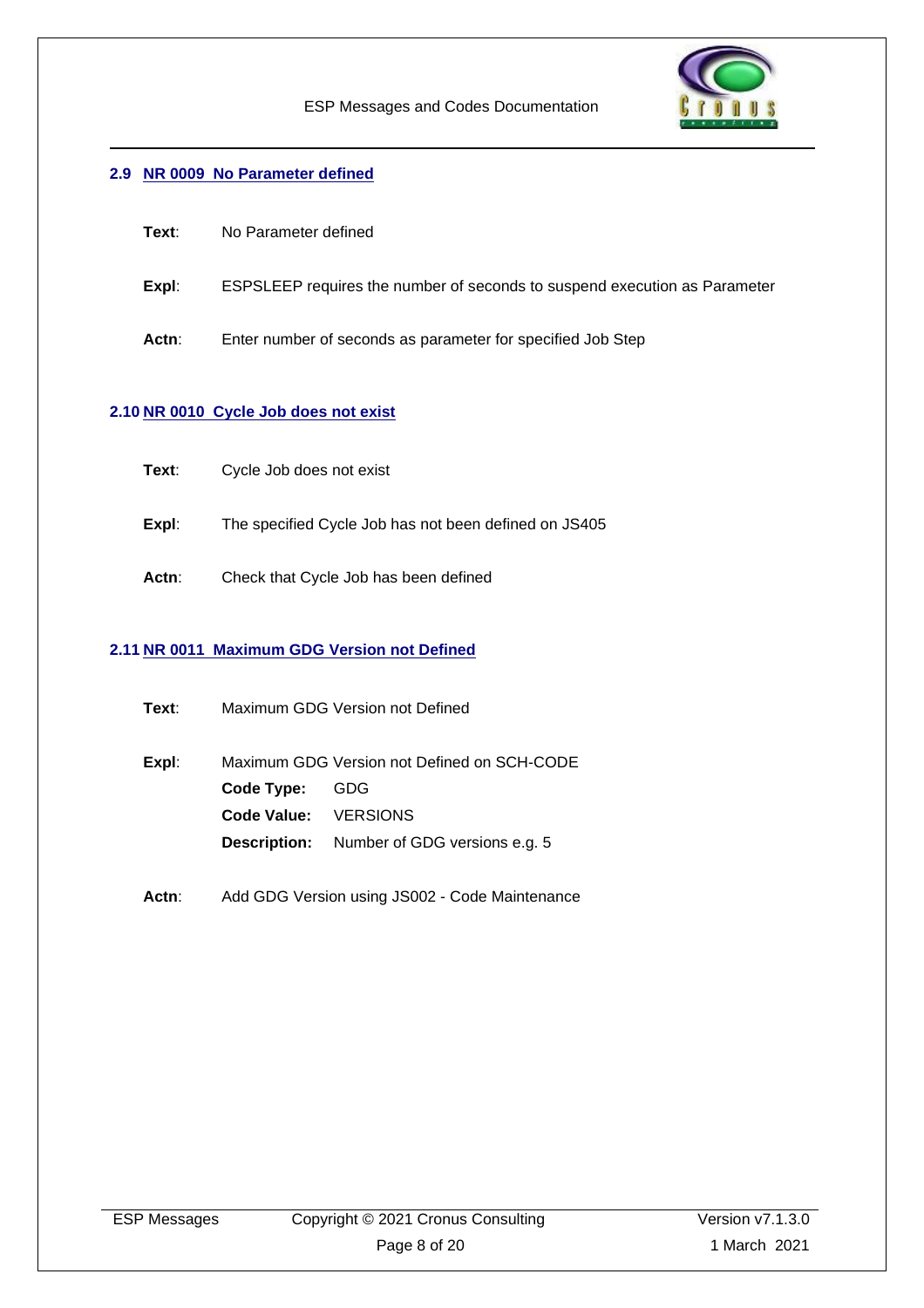

#### <span id="page-7-0"></span>**2.9 NR 0009 No Parameter defined**

- **Text**: No Parameter defined
- **Expl**: ESPSLEEP requires the number of seconds to suspend execution as Parameter
- **Actn**: Enter number of seconds as parameter for specified Job Step

#### <span id="page-7-1"></span>**2.10 NR 0010 Cycle Job does not exist**

- **Expl**: The specified Cycle Job has not been defined on JS405
- **Actn**: Check that Cycle Job has been defined

#### <span id="page-7-2"></span>**2.11 NR 0011 Maximum GDG Version not Defined**

| Text∶ | Maximum GDG Version not Defined             |                                                   |
|-------|---------------------------------------------|---------------------------------------------------|
| Expl: | Maximum GDG Version not Defined on SCH-CODE |                                                   |
|       | Code Type:                                  | GDG                                               |
|       | Code Value: VERSIONS                        |                                                   |
|       |                                             | <b>Description:</b> Number of GDG versions e.g. 5 |
|       |                                             |                                                   |

Actn: Add GDG Version using JS002 - Code Maintenance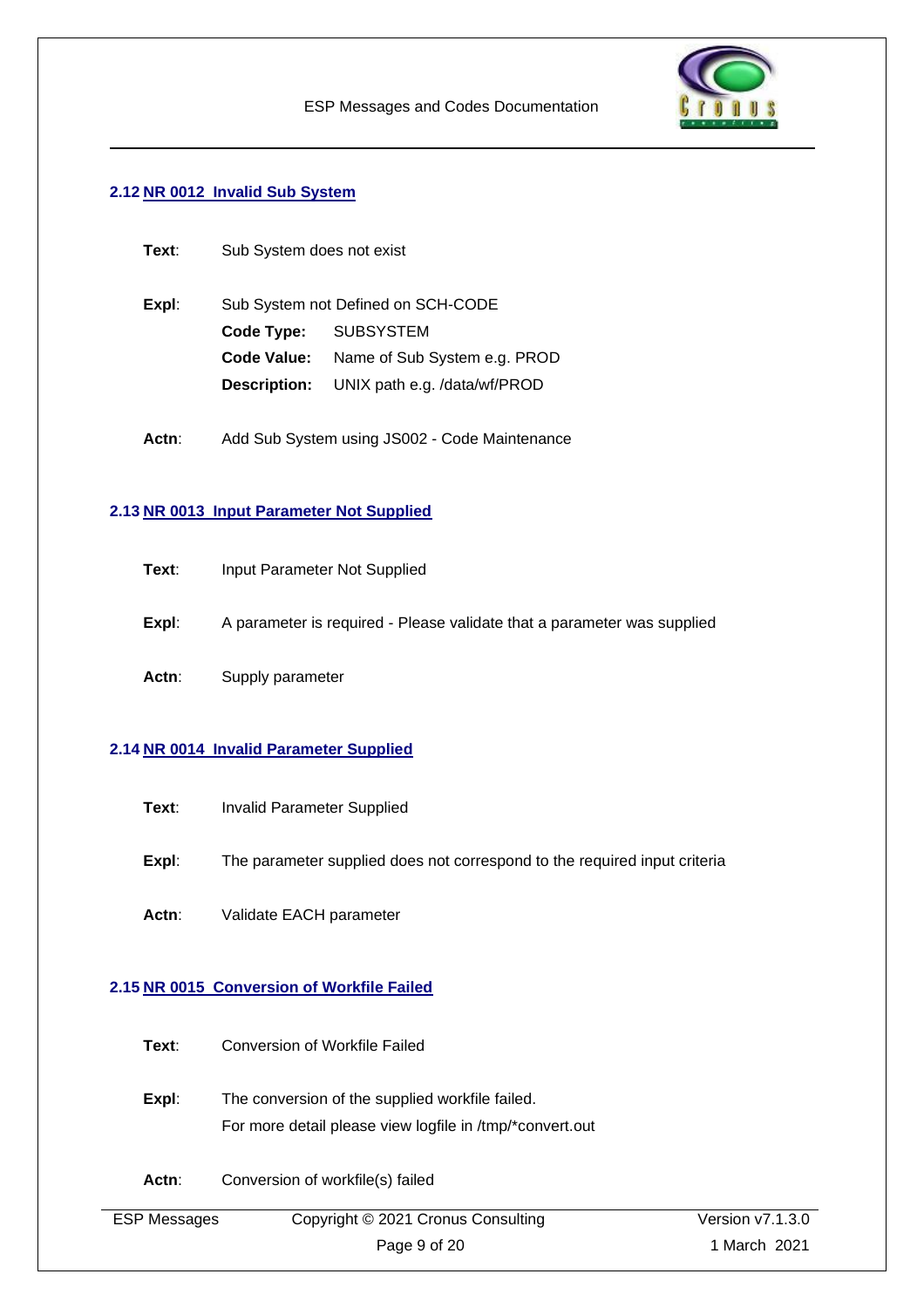

#### <span id="page-8-0"></span>**2.12 NR 0012 Invalid Sub System**

| Text: | Sub System does not exist          |                              |
|-------|------------------------------------|------------------------------|
| Expl: | Sub System not Defined on SCH-CODE |                              |
|       |                                    | Code Type: SUBSYSTEM         |
|       | Code Value:                        | Name of Sub System e.g. PROD |
|       | <b>Description:</b>                | UNIX path e.g. /data/wf/PROD |
|       |                                    |                              |

Actn: Add Sub System using JS002 - Code Maintenance

#### <span id="page-8-1"></span>**2.13 NR 0013 Input Parameter Not Supplied**

| Text: | Input Parameter Not Supplied |
|-------|------------------------------|
|-------|------------------------------|

- **Expl:** A parameter is required Please validate that a parameter was supplied
- **Actn**: Supply parameter

#### <span id="page-8-2"></span>**2.14 NR 0014 Invalid Parameter Supplied**

- **Text:** Invalid Parameter Supplied
- **Expl:** The parameter supplied does not correspond to the required input criteria
- **Actn**: Validate EACH parameter

#### <span id="page-8-3"></span>**2.15 NR 0015 Conversion of Workfile Failed**

- **Text**: Conversion of Workfile Failed
- **Expl:** The conversion of the supplied workfile failed. For more detail please view logfile in /tmp/\*convert.out
- Actn: Conversion of workfile(s) failed

| <b>ESP Messages</b> | Copyright © 2021 Cronus Consulting | Version $v7.1.3.0$ |
|---------------------|------------------------------------|--------------------|
|                     | Page 9 of 20                       | 1 March 2021       |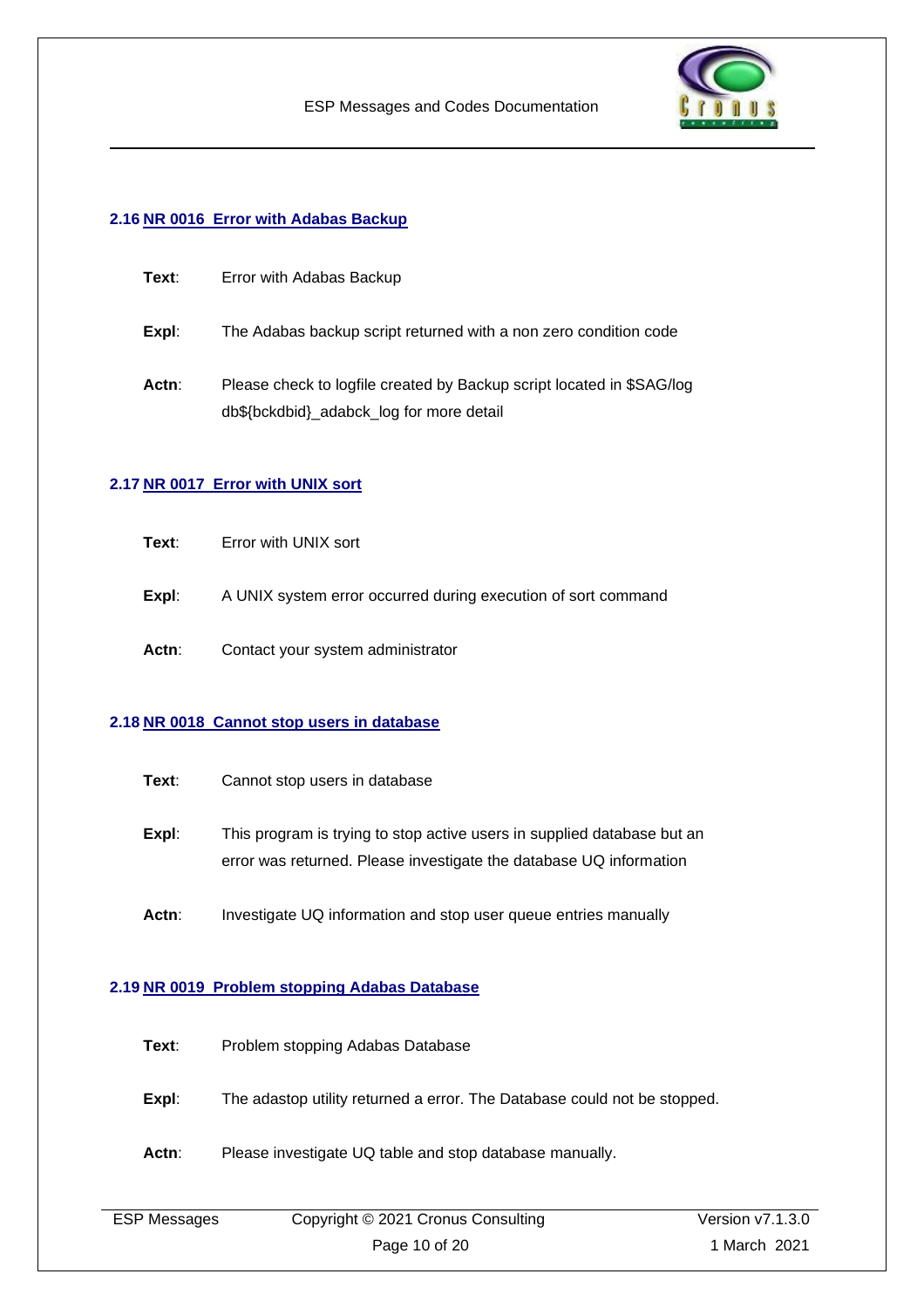

#### <span id="page-9-0"></span>**2.16 NR 0016 Error with Adabas Backup**

| Text: | Error with Adabas Backup                                                                                          |
|-------|-------------------------------------------------------------------------------------------------------------------|
| Expl: | The Adabas backup script returned with a non zero condition code                                                  |
| Actn: | Please check to logfile created by Backup script located in \$SAG/log<br>db\${bckdbid}_adabck_log for more detail |

#### <span id="page-9-1"></span>**2.17 NR 0017 Error with UNIX sort**

- **Expl:** A UNIX system error occurred during execution of sort command
- **Actn**: Contact your system administrator

#### <span id="page-9-2"></span>**2.18 NR 0018 Cannot stop users in database**

- **Expl:** This program is trying to stop active users in supplied database but an error was returned. Please investigate the database UQ information
- Actn: Investigate UQ information and stop user queue entries manually

#### <span id="page-9-3"></span>**2.19 NR 0019 Problem stopping Adabas Database**

| Text: | Problem stopping Adabas Database                                         |
|-------|--------------------------------------------------------------------------|
| Expl: | The adastop utility returned a error. The Database could not be stopped. |
| Actn: | Please investigate UQ table and stop database manually.                  |

| <b>ESP Messages</b> | Copyright © 2021 Cronus Consulting | Version v7.1.3.0 |
|---------------------|------------------------------------|------------------|
|                     | Page 10 of 20                      | 1 March 2021     |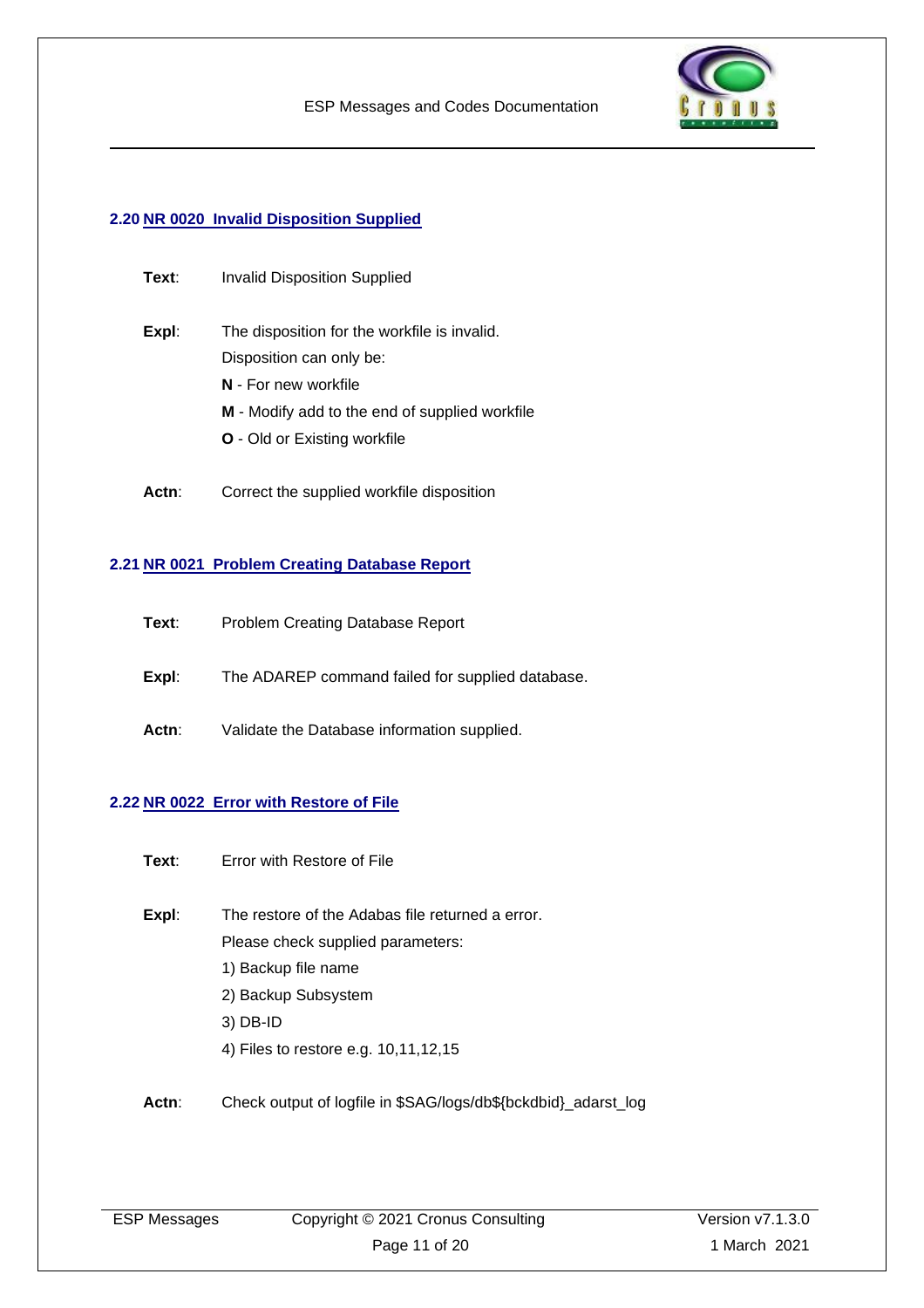

#### <span id="page-10-0"></span>**2.20 NR 0020 Invalid Disposition Supplied**

| Text: | <b>Invalid Disposition Supplied</b>            |
|-------|------------------------------------------------|
| Expl: | The disposition for the workfile is invalid.   |
|       | Disposition can only be:                       |
|       | N - For new workfile                           |
|       | M - Modify add to the end of supplied workfile |
|       | <b>O</b> - Old or Existing workfile            |
|       |                                                |

Actn: Correct the supplied workfile disposition

#### <span id="page-10-1"></span>**2.21 NR 0021 Problem Creating Database Report**

| Text: |  |  | Problem Creating Database Report |  |
|-------|--|--|----------------------------------|--|
|-------|--|--|----------------------------------|--|

**Expl**: The ADAREP command failed for supplied database.

Actn: Validate the Database information supplied.

#### <span id="page-10-2"></span>**2.22 NR 0022 Error with Restore of File**

- **Text**: Error with Restore of File
- **Expl**: The restore of the Adabas file returned a error. Please check supplied parameters: 1) Backup file name
	- 2) Backup Subsystem
	- 3) DB-ID
	- 4) Files to restore e.g. 10,11,12,15
- **Actn**: Check output of logfile in \$SAG/logs/db\${bckdbid}\_adarst\_log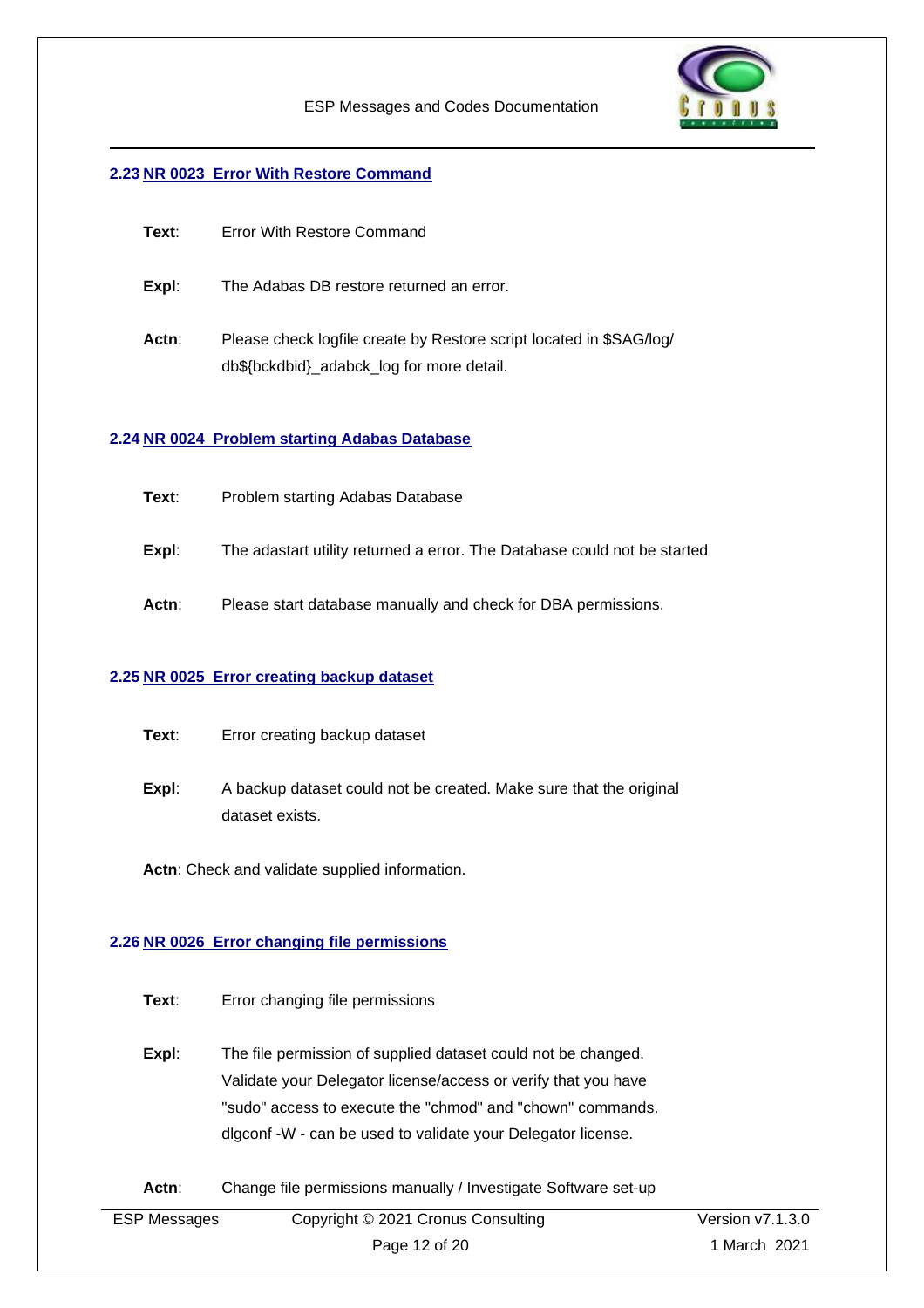

#### <span id="page-11-0"></span>**2.23 NR 0023 Error With Restore Command**

| Text: | Error With Restore Command                                                                                       |
|-------|------------------------------------------------------------------------------------------------------------------|
| Expl: | The Adabas DB restore returned an error.                                                                         |
| Actn: | Please check logfile create by Restore script located in \$SAG/log/<br>db\${bckdbid}_adabck_log for more detail. |

#### <span id="page-11-1"></span>**2.24 NR 0024 Problem starting Adabas Database**

| Problem starting Adabas Database<br>Text: |  |
|-------------------------------------------|--|
|-------------------------------------------|--|

- **Expl**: The adastart utility returned a error. The Database could not be started
- **Actn**: Please start database manually and check for DBA permissions.

#### <span id="page-11-2"></span>**2.25 NR 0025 Error creating backup dataset**

**Expl**: A backup dataset could not be created. Make sure that the original dataset exists.

**Actn**: Check and validate supplied information.

#### <span id="page-11-3"></span>**2.26 NR 0026 Error changing file permissions**

- **Text**: Error changing file permissions
- **Expl:** The file permission of supplied dataset could not be changed. Validate your Delegator license/access or verify that you have "sudo" access to execute the "chmod" and "chown" commands. dlgconf -W - can be used to validate your Delegator license.

#### Actn: Change file permissions manually / Investigate Software set-up

| <b>ESP Messages</b> | Copyright © 2021 Cronus Consulting | Version $v7.1.3.0$ |
|---------------------|------------------------------------|--------------------|
|                     | Page 12 of 20                      | 1 March 2021       |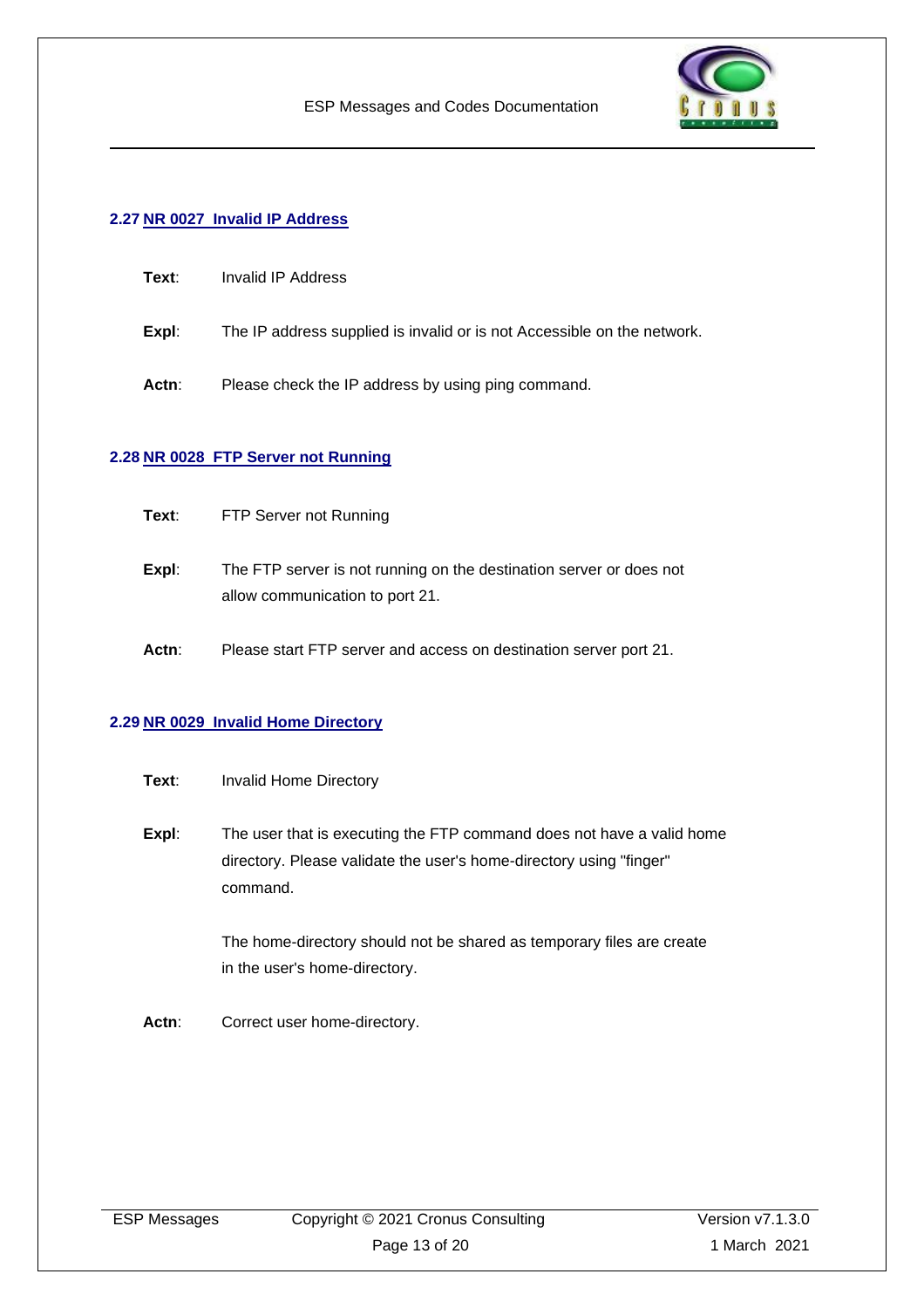

#### <span id="page-12-0"></span>**2.27 NR 0027 Invalid IP Address**

| Text∶ | Invalid IP Address |
|-------|--------------------|
|       |                    |

- **Expl**: The IP address supplied is invalid or is not Accessible on the network.
- Actn: Please check the IP address by using ping command.

#### <span id="page-12-1"></span>**2.28 NR 0028 FTP Server not Running**

- **Text**: FTP Server not Running
- **Expl:** The FTP server is not running on the destination server or does not allow communication to port 21.
- **Actn**: Please start FTP server and access on destination server port 21.

#### <span id="page-12-2"></span>**2.29 NR 0029 Invalid Home Directory**

- **Text:** Invalid Home Directory
- **Expl:** The user that is executing the FTP command does not have a valid home directory. Please validate the user's home-directory using "finger" command.

The home-directory should not be shared as temporary files are create in the user's home-directory.

Actn: Correct user home-directory.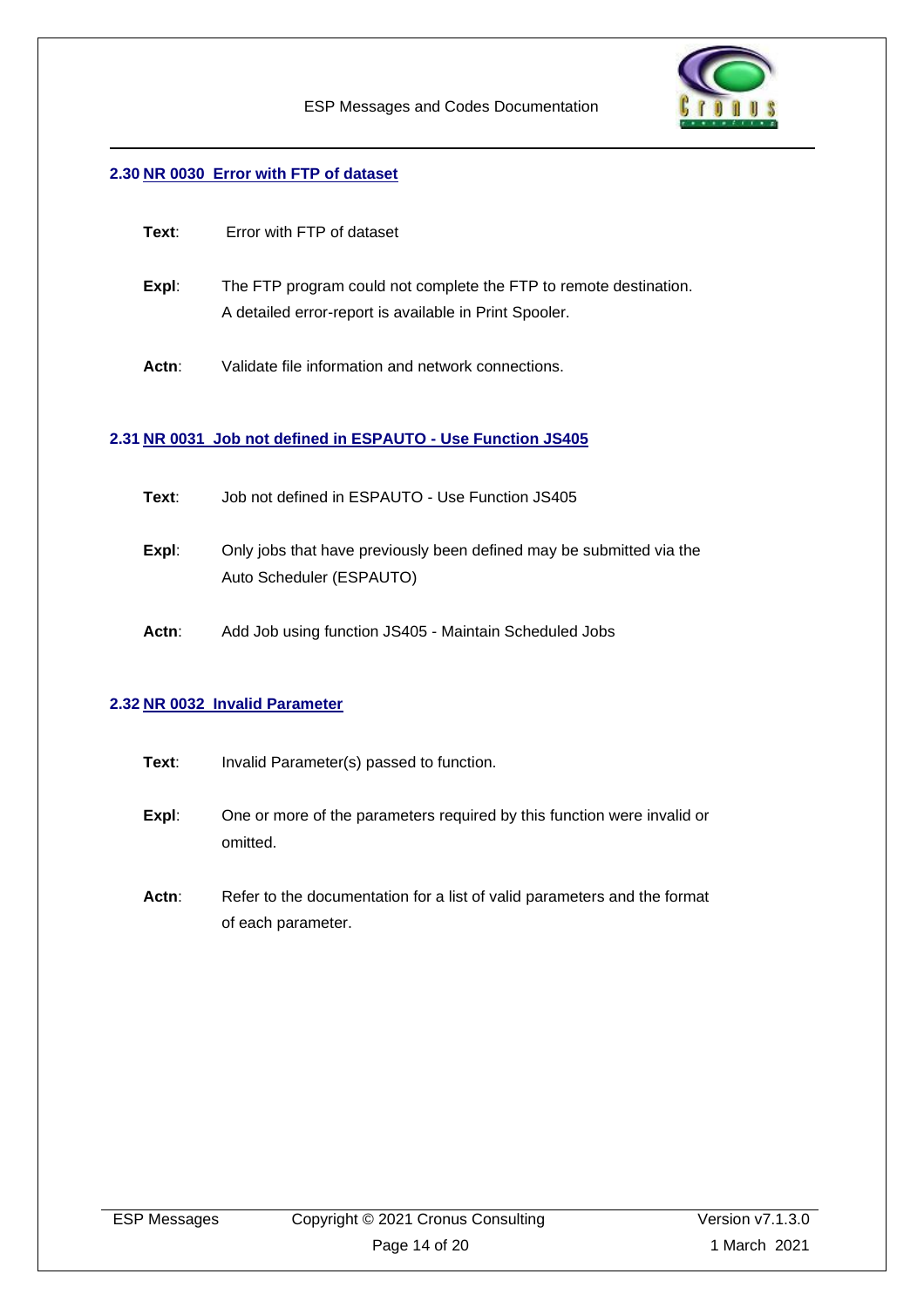

#### <span id="page-13-0"></span>**2.30 NR 0030 Error with FTP of dataset**

| Text: | Error with FTP of dataset                                                                                                   |
|-------|-----------------------------------------------------------------------------------------------------------------------------|
| Expl: | The FTP program could not complete the FTP to remote destination.<br>A detailed error-report is available in Print Spooler. |
| Actn: | Validate file information and network connections.                                                                          |

#### <span id="page-13-1"></span>**2.31 NR 0031 Job not defined in ESPAUTO - Use Function JS405**

- **Text**: Job not defined in ESPAUTO Use Function JS405
- **Expl**: Only jobs that have previously been defined may be submitted via the Auto Scheduler (ESPAUTO)
- **Actn**: Add Job using function JS405 Maintain Scheduled Jobs

#### <span id="page-13-2"></span>**2.32 NR 0032 Invalid Parameter**

- **Text:** Invalid Parameter(s) passed to function.
- **Expl:** One or more of the parameters required by this function were invalid or omitted.
- Actn: Refer to the documentation for a list of valid parameters and the format of each parameter.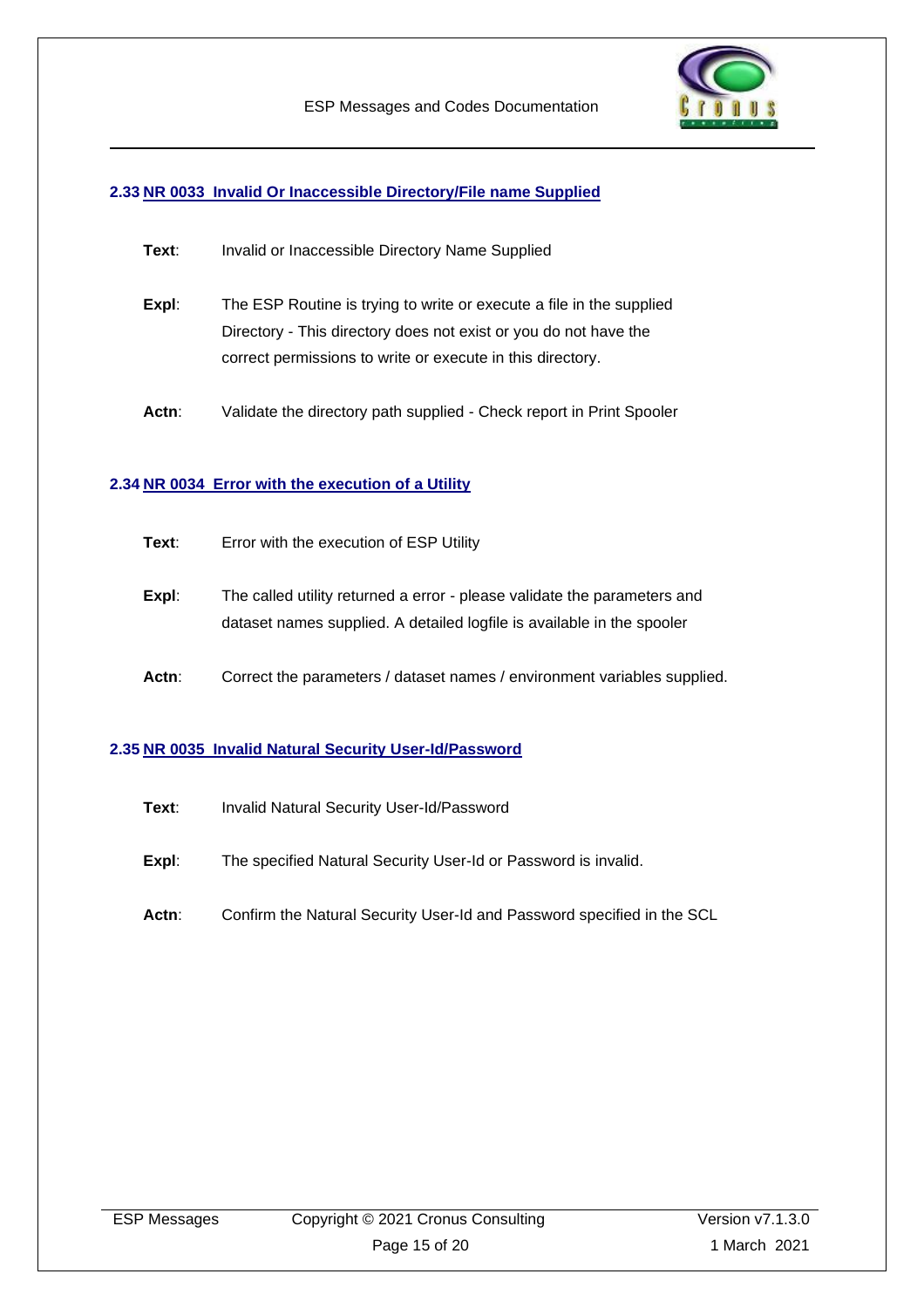

#### <span id="page-14-0"></span>**2.33 NR 0033 Invalid Or Inaccessible Directory/File name Supplied**

| Text: | Invalid or Inaccessible Directory Name Supplied |
|-------|-------------------------------------------------|
|-------|-------------------------------------------------|

- **Expl:** The ESP Routine is trying to write or execute a file in the supplied Directory - This directory does not exist or you do not have the correct permissions to write or execute in this directory.
- Actn: Validate the directory path supplied Check report in Print Spooler

#### <span id="page-14-1"></span>**2.34 NR 0034 Error with the execution of a Utility**

- **Expl**: The called utility returned a error please validate the parameters and dataset names supplied. A detailed logfile is available in the spooler
- Actn: Correct the parameters / dataset names / environment variables supplied.

#### <span id="page-14-2"></span>**2.35 NR 0035 Invalid Natural Security User-Id/Password**

- **Text**: Invalid Natural Security User-Id/Password
- **Expl:** The specified Natural Security User-Id or Password is invalid.
- **Actn**: Confirm the Natural Security User-Id and Password specified in the SCL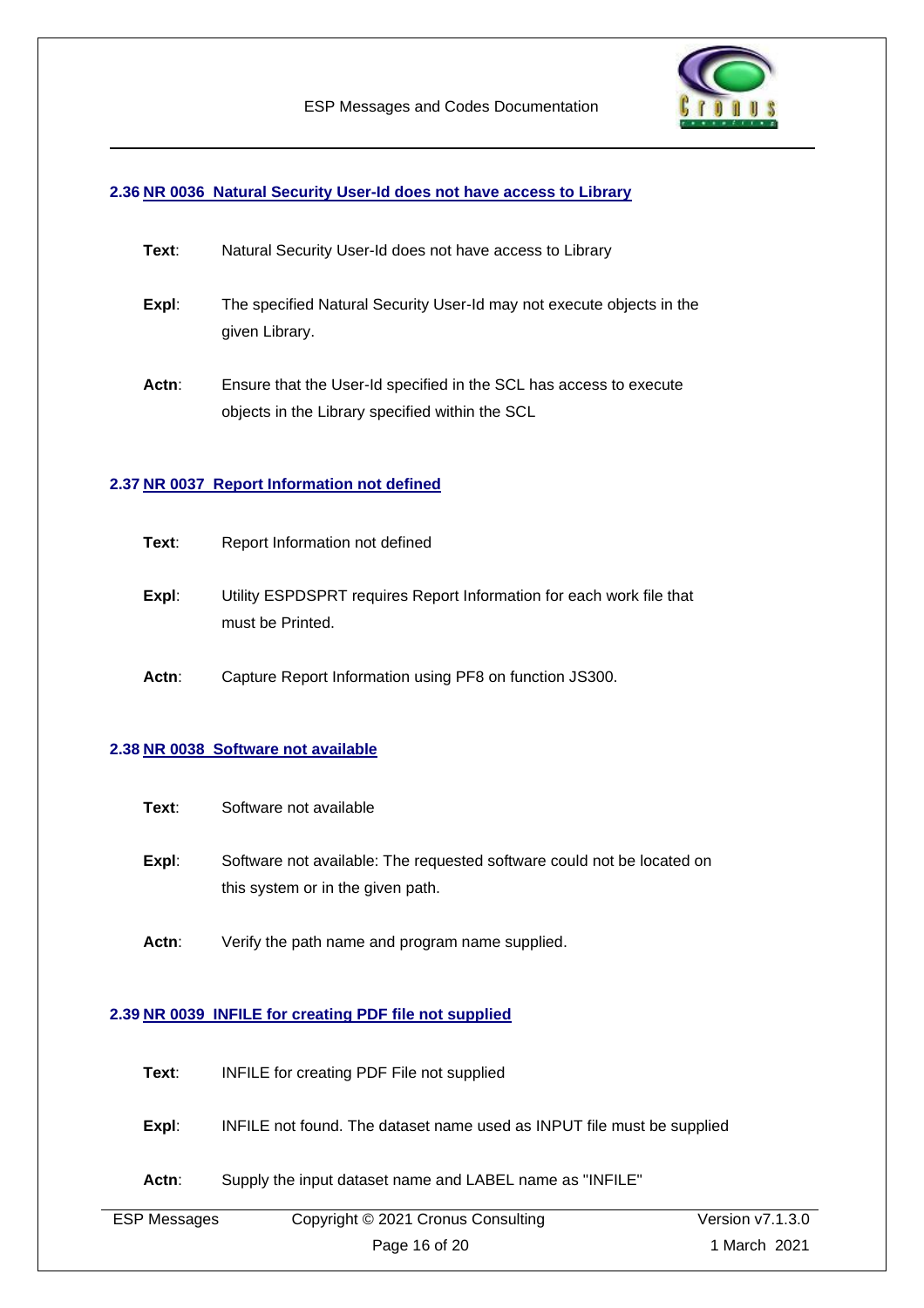

#### <span id="page-15-0"></span>**2.36 NR 0036 Natural Security User-Id does not have access to Library**

| Text: | Natural Security User-Id does not have access to Library |
|-------|----------------------------------------------------------|
|-------|----------------------------------------------------------|

- **Expl**: The specified Natural Security User-Id may not execute objects in the given Library.
- **Actn**: Ensure that the User-Id specified in the SCL has access to execute objects in the Library specified within the SCL

#### <span id="page-15-1"></span>**2.37 NR 0037 Report Information not defined**

- **Text:** Report Information not defined
- **Expl**: Utility ESPDSPRT requires Report Information for each work file that must be Printed.
- **Actn**: Capture Report Information using PF8 on function JS300.

#### <span id="page-15-2"></span>**2.38 NR 0038 Software not available**

| Text: | Software not available |
|-------|------------------------|
|-------|------------------------|

- **Expl:** Software not available: The requested software could not be located on this system or in the given path.
- **Actn**: Verify the path name and program name supplied.

#### <span id="page-15-3"></span>**2.39 NR 0039 INFILE for creating PDF file not supplied**

| Text: | INFILE for creating PDF File not supplied |  |
|-------|-------------------------------------------|--|
|       |                                           |  |

- **Expl**: INFILE not found. The dataset name used as INPUT file must be supplied
- **Actn**: Supply the input dataset name and LABEL name as "INFILE"

| <b>ESP Messages</b> | Copyright © 2021 Cronus Consulting | Version $v7.1.3.0$ |
|---------------------|------------------------------------|--------------------|
|                     | Page 16 of 20                      | 1 March 2021       |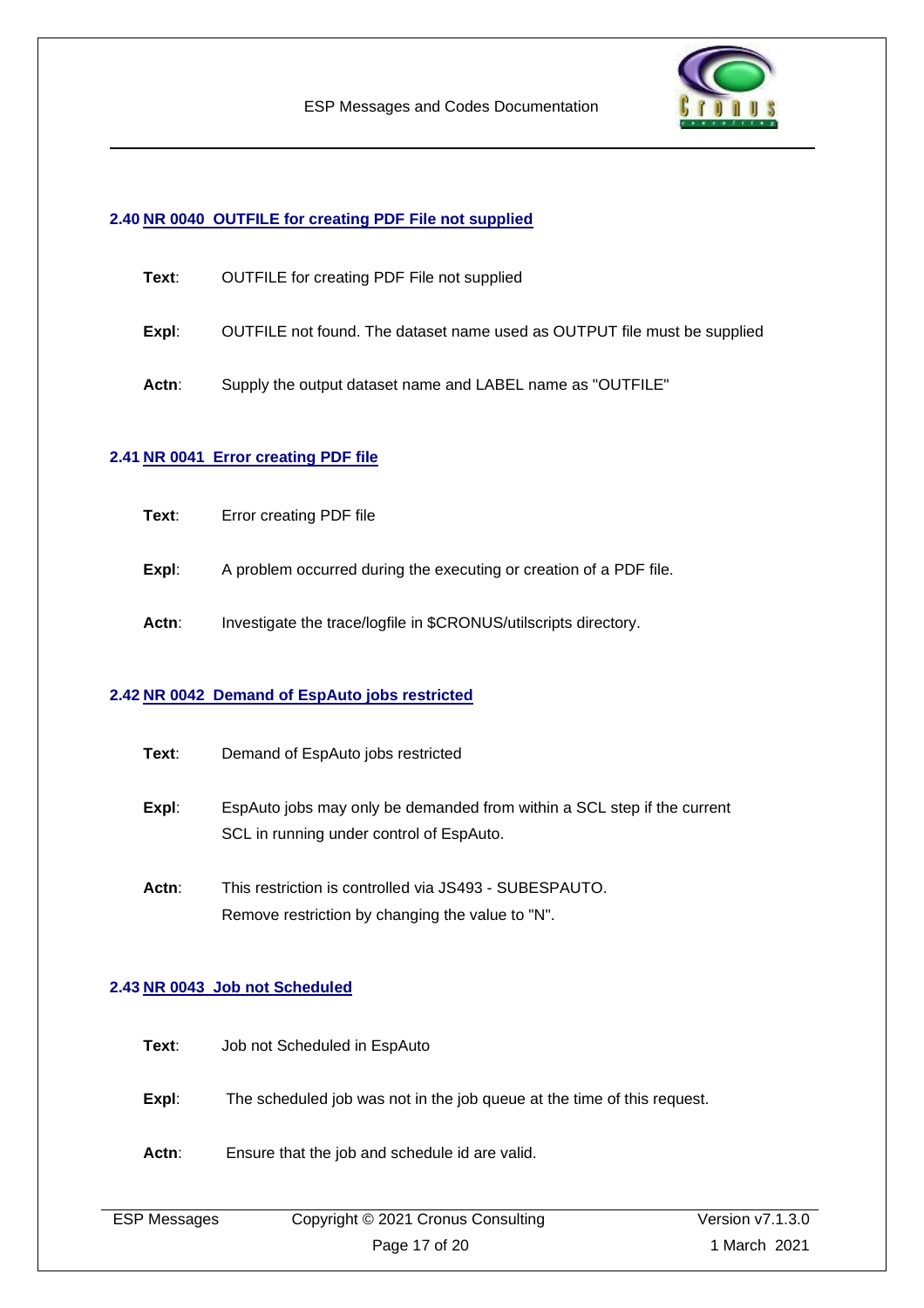

#### <span id="page-16-0"></span>**2.40 NR 0040 OUTFILE for creating PDF File not supplied**

- **Text**: OUTFILE for creating PDF File not supplied
- **Expl**: OUTFILE not found. The dataset name used as OUTPUT file must be supplied
- **Actn**: Supply the output dataset name and LABEL name as "OUTFILE"

#### <span id="page-16-1"></span>**2.41 NR 0041 Error creating PDF file**

- **Text**: Error creating PDF file
- **Expl:** A problem occurred during the executing or creation of a PDF file.
- Actn: Investigate the trace/logfile in \$CRONUS/utilscripts directory.

#### <span id="page-16-2"></span>**2.42 NR 0042 Demand of EspAuto jobs restricted**

- **Expl**: EspAuto jobs may only be demanded from within a SCL step if the current SCL in running under control of EspAuto.
- **Actn**: This restriction is controlled via JS493 SUBESPAUTO. Remove restriction by changing the value to "N".

#### <span id="page-16-3"></span>**2.43 NR 0043 Job not Scheduled**

- **Text**: Job not Scheduled in EspAuto
- **Expl:** The scheduled job was not in the job queue at the time of this request.
- **Actn**: Ensure that the job and schedule id are valid.

| <b>ESP Messages</b> | Copyright © 2021 Cronus Consulting | Version v7.1.3.0 |
|---------------------|------------------------------------|------------------|
|                     | Page 17 of 20                      | 1 March 2021     |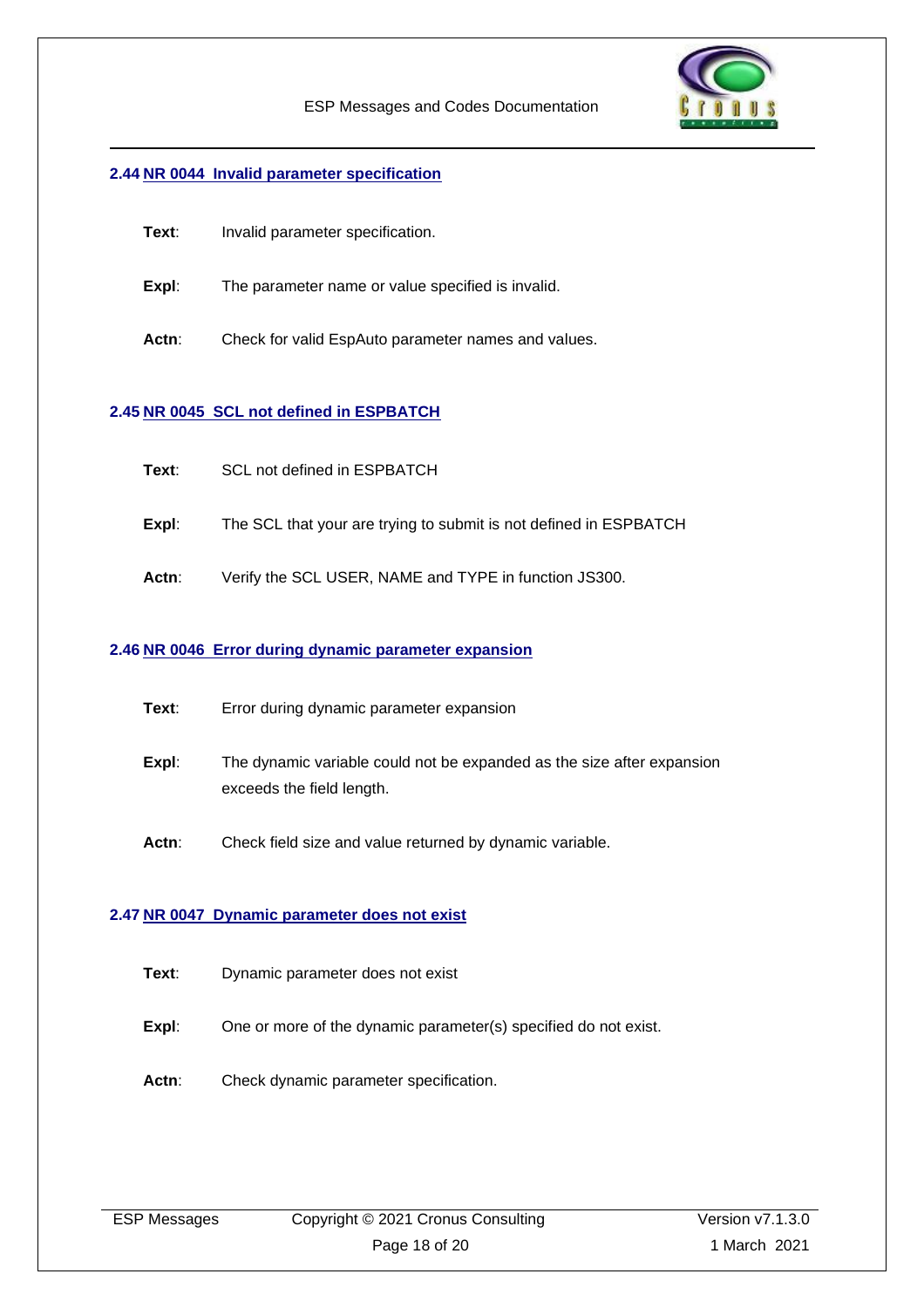

#### <span id="page-17-0"></span>**2.44 NR 0044 Invalid parameter specification**

- **Text**: Invalid parameter specification.
- **Expl:** The parameter name or value specified is invalid.
- **Actn**: Check for valid EspAuto parameter names and values.

#### <span id="page-17-1"></span>**2.45 NR 0045 SCL not defined in ESPBATCH**

- **Text**: SCL not defined in ESPBATCH
- **Expl**: The SCL that your are trying to submit is not defined in ESPBATCH
- **Actn**: Verify the SCL USER, NAME and TYPE in function JS300.

#### <span id="page-17-2"></span>**2.46 NR 0046 Error during dynamic parameter expansion**

- **Text**: Error during dynamic parameter expansion
- **Expl**: The dynamic variable could not be expanded as the size after expansion exceeds the field length.
- **Actn**: Check field size and value returned by dynamic variable.

#### <span id="page-17-3"></span>**2.47 NR 0047 Dynamic parameter does not exist**

- **Text**: Dynamic parameter does not exist
- **Expl:** One or more of the dynamic parameter(s) specified do not exist.
- Actn: Check dynamic parameter specification.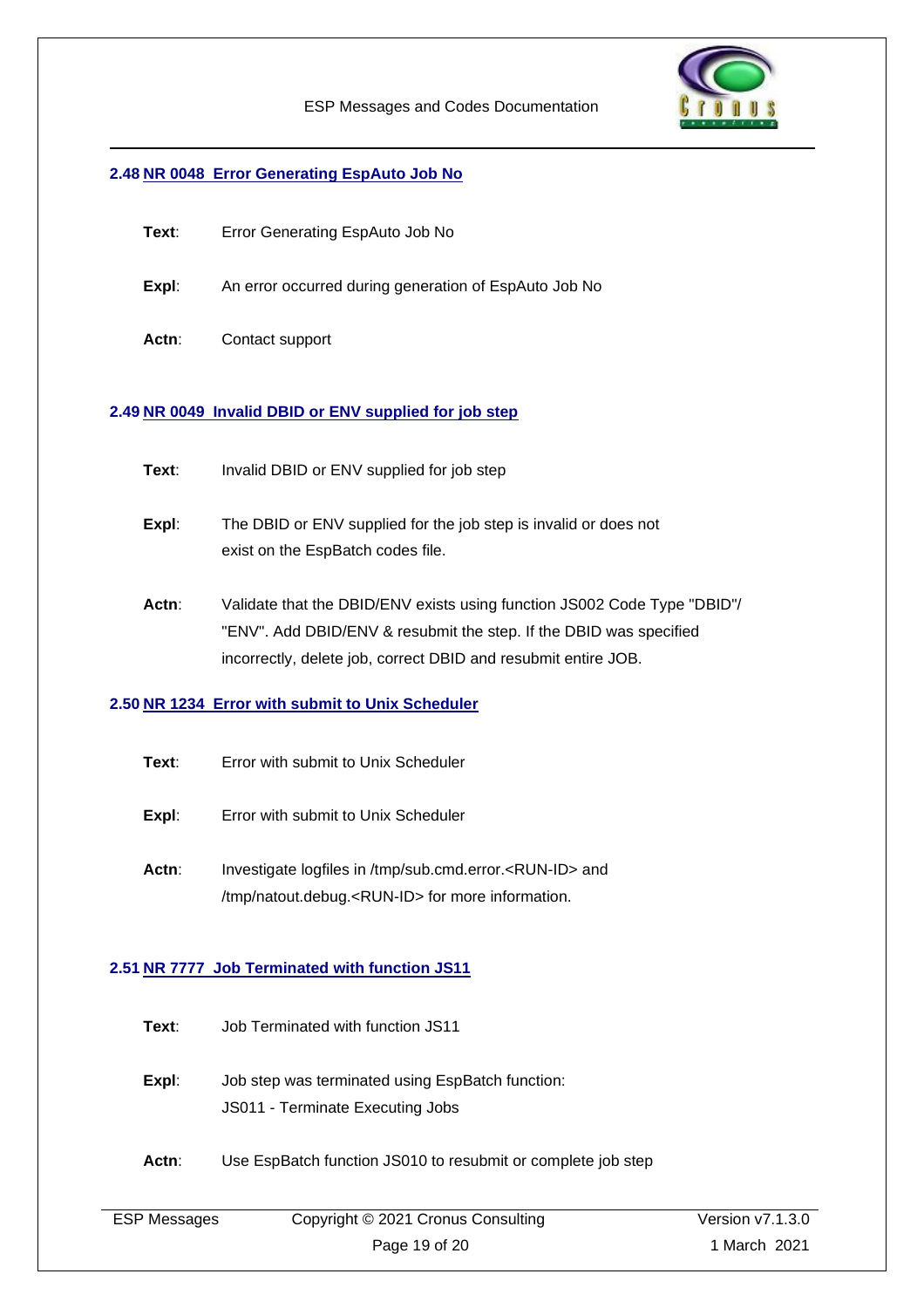

#### <span id="page-18-0"></span>**2.48 NR 0048 Error Generating EspAuto Job No**

- **Text**: Error Generating EspAuto Job No
- **Expl**: An error occurred during generation of EspAuto Job No
- **Actn**: Contact support

#### <span id="page-18-1"></span>**2.49 NR 0049 Invalid DBID or ENV supplied for job step**

- **Text:** Invalid DBID or ENV supplied for job step
- **Expl:** The DBID or ENV supplied for the job step is invalid or does not exist on the EspBatch codes file.
- **Actn**: Validate that the DBID/ENV exists using function JS002 Code Type "DBID"/ "ENV". Add DBID/ENV & resubmit the step. If the DBID was specified incorrectly, delete job, correct DBID and resubmit entire JOB.

#### <span id="page-18-2"></span>**2.50 NR 1234 Error with submit to Unix Scheduler**

- **Text**: Error with submit to Unix Scheduler
- **Expl:** Error with submit to Unix Scheduler
- Actn: Investigate logfiles in /tmp/sub.cmd.error.<RUN-ID> and /tmp/natout.debug.<RUN-ID> for more information.

#### <span id="page-18-3"></span>**2.51 NR 7777 Job Terminated with function JS11**

- **Text**: Job Terminated with function JS11
- **Expl:** Job step was terminated using EspBatch function: JS011 - Terminate Executing Jobs
- Actn: Use EspBatch function JS010 to resubmit or complete job step

| <b>ESP Messages</b> |
|---------------------|
|---------------------|

Copyright © 2021 Cronus Consulting Page 19 of 20